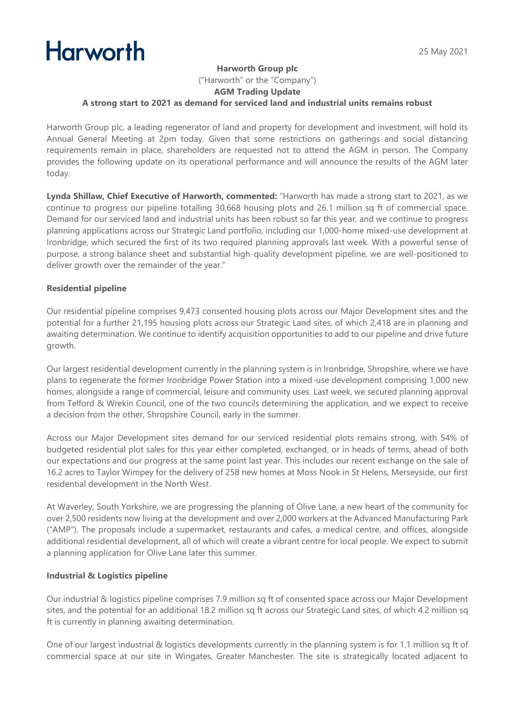# **Harworth**

# **Harworth Group plc**

("Harworth" or the "Company")

## **AGM Trading Update**

## **A strong start to 2021 as demand for serviced land and industrial units remains robust**

Harworth Group plc, a leading regenerator of land and property for development and investment, will hold its Annual General Meeting at 2pm today. Given that some restrictions on gatherings and social distancing requirements remain in place, shareholders are requested not to attend the AGM in person. The Company provides the following update on its operational performance and will announce the results of the AGM later today.

**Lynda Shillaw, Chief Executive of Harworth, commented:** "Harworth has made a strong start to 2021, as we continue to progress our pipeline totalling 30,668 housing plots and 26.1 million sq ft of commercial space. Demand for our serviced land and industrial units has been robust so far this year, and we continue to progress planning applications across our Strategic Land portfolio, including our 1,000-home mixed-use development at Ironbridge, which secured the first of its two required planning approvals last week. With a powerful sense of purpose, a strong balance sheet and substantial high-quality development pipeline, we are well-positioned to deliver growth over the remainder of the year."

# **Residential pipeline**

Our residential pipeline comprises 9,473 consented housing plots across our Major Development sites and the potential for a further 21,195 housing plots across our Strategic Land sites, of which 2,418 are in planning and awaiting determination. We continue to identify acquisition opportunities to add to our pipeline and drive future growth.

Our largest residential development currently in the planning system is in Ironbridge, Shropshire, where we have plans to regenerate the former Ironbridge Power Station into a mixed-use development comprising 1,000 new homes, alongside a range of commercial, leisure and community uses. Last week, we secured planning approval from Telford & Wrekin Council, one of the two councils determining the application, and we expect to receive a decision from the other, Shropshire Council, early in the summer.

Across our Major Development sites demand for our serviced residential plots remains strong, with 54% of budgeted residential plot sales for this year either completed, exchanged, or in heads of terms, ahead of both our expectations and our progress at the same point last year. This includes our recent exchange on the sale of 16.2 acres to Taylor Wimpey for the delivery of 258 new homes at Moss Nook in St Helens, Merseyside, our first residential development in the North West.

At Waverley, South Yorkshire, we are progressing the planning of Olive Lane, a new heart of the community for over 2,500 residents now living at the development and over 2,000 workers at the Advanced Manufacturing Park ("AMP"). The proposals include a supermarket, restaurants and cafes, a medical centre, and offices, alongside additional residential development, all of which will create a vibrant centre for local people. We expect to submit a planning application for Olive Lane later this summer.

# **Industrial & Logistics pipeline**

Our industrial & logistics pipeline comprises 7.9 million sq ft of consented space across our Major Development sites, and the potential for an additional 18.2 million sq ft across our Strategic Land sites, of which 4.2 million sq ft is currently in planning awaiting determination.

One of our largest industrial & logistics developments currently in the planning system is for 1.1 million sq ft of commercial space at our site in Wingates, Greater Manchester. The site is strategically located adjacent to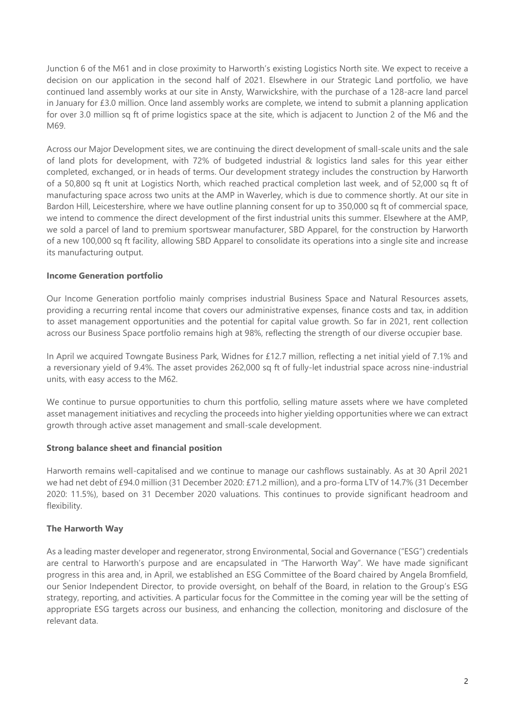Junction 6 of the M61 and in close proximity to Harworth's existing Logistics North site. We expect to receive a decision on our application in the second half of 2021. Elsewhere in our Strategic Land portfolio, we have continued land assembly works at our site in Ansty, Warwickshire, with the purchase of a 128-acre land parcel in January for £3.0 million. Once land assembly works are complete, we intend to submit a planning application for over 3.0 million sq ft of prime logistics space at the site, which is adjacent to Junction 2 of the M6 and the M69.

Across our Major Development sites, we are continuing the direct development of small-scale units and the sale of land plots for development, with 72% of budgeted industrial & logistics land sales for this year either completed, exchanged, or in heads of terms. Our development strategy includes the construction by Harworth of a 50,800 sq ft unit at Logistics North, which reached practical completion last week, and of 52,000 sq ft of manufacturing space across two units at the AMP in Waverley, which is due to commence shortly. At our site in Bardon Hill, Leicestershire, where we have outline planning consent for up to 350,000 sq ft of commercial space, we intend to commence the direct development of the first industrial units this summer. Elsewhere at the AMP, we sold a parcel of land to premium sportswear manufacturer, SBD Apparel, for the construction by Harworth of a new 100,000 sq ft facility, allowing SBD Apparel to consolidate its operations into a single site and increase its manufacturing output.

## **Income Generation portfolio**

Our Income Generation portfolio mainly comprises industrial Business Space and Natural Resources assets, providing a recurring rental income that covers our administrative expenses, finance costs and tax, in addition to asset management opportunities and the potential for capital value growth. So far in 2021, rent collection across our Business Space portfolio remains high at 98%, reflecting the strength of our diverse occupier base.

In April we acquired Towngate Business Park, Widnes for £12.7 million, reflecting a net initial yield of 7.1% and a reversionary yield of 9.4%. The asset provides 262,000 sq ft of fully-let industrial space across nine-industrial units, with easy access to the M62.

We continue to pursue opportunities to churn this portfolio, selling mature assets where we have completed asset management initiatives and recycling the proceeds into higher yielding opportunities where we can extract growth through active asset management and small-scale development.

#### **Strong balance sheet and financial position**

Harworth remains well-capitalised and we continue to manage our cashflows sustainably. As at 30 April 2021 we had net debt of £94.0 million (31 December 2020: £71.2 million), and a pro-forma LTV of 14.7% (31 December 2020: 11.5%), based on 31 December 2020 valuations. This continues to provide significant headroom and flexibility.

# **The Harworth Way**

As a leading master developer and regenerator, strong Environmental, Social and Governance ("ESG") credentials are central to Harworth's purpose and are encapsulated in "The Harworth Way". We have made significant progress in this area and, in April, we established an ESG Committee of the Board chaired by Angela Bromfield, our Senior Independent Director, to provide oversight, on behalf of the Board, in relation to the Group's ESG strategy, reporting, and activities. A particular focus for the Committee in the coming year will be the setting of appropriate ESG targets across our business, and enhancing the collection, monitoring and disclosure of the relevant data.